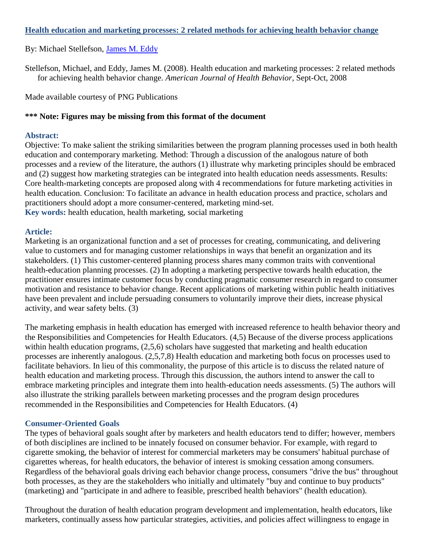## **Health education and marketing processes: 2 related methods for achieving health behavior change**

By: Michael Stellefson, [James M. Eddy](http://libres.uncg.edu/ir/uncg/clist.aspx?id=3091)

Stellefson, Michael, and Eddy, James M. (2008). Health education and marketing processes: 2 related methods for achieving health behavior change. *[American Journal of Health Behavior,](http://findarticles.com/p/articles/mi_7414/)* [Sept-Oct, 2008](http://findarticles.com/p/articles/mi_7414/is_5_32/)

Made available courtesy of PNG Publications

## **\*\*\* Note: Figures may be missing from this format of the document**

## **Abstract:**

Objective: To make salient the striking similarities between the program planning processes used in both health education and contemporary marketing. Method: Through a discussion of the analogous nature of both processes and a review of the literature, the authors (1) illustrate why marketing principles should be embraced and (2) suggest how marketing strategies can be integrated into health education needs assessments. Results: Core health-marketing concepts are proposed along with 4 recommendations for future marketing activities in health education. Conclusion: To facilitate an advance in health education process and practice, scholars and practitioners should adopt a more consumer-centered, marketing mind-set. **Key words:** health education, health marketing, social marketing

## **Article:**

Marketing is an organizational function and a set of processes for creating, communicating, and delivering value to customers and for managing customer relationships in ways that benefit an organization and its stakeholders. (1) This customer-centered planning process shares many common traits with conventional health-education planning processes. (2) In adopting a marketing perspective towards health education, the practitioner ensures intimate customer focus by conducting pragmatic consumer research in regard to consumer motivation and resistance to behavior change. Recent applications of marketing within public health initiatives have been prevalent and include persuading consumers to voluntarily improve their diets, increase physical activity, and wear safety belts. (3)

The marketing emphasis in health education has emerged with increased reference to health behavior theory and the Responsibilities and Competencies for Health Educators. (4,5) Because of the diverse process applications within health education programs, (2,5,6) scholars have suggested that marketing and health education processes are inherently analogous. (2,5,7,8) Health education and marketing both focus on processes used to facilitate behaviors. In lieu of this commonality, the purpose of this article is to discuss the related nature of health education and marketing process. Through this discussion, the authors intend to answer the call to embrace marketing principles and integrate them into health-education needs assessments. (5) The authors will also illustrate the striking parallels between marketing processes and the program design procedures recommended in the Responsibilities and Competencies for Health Educators. (4)

## **Consumer-Oriented Goals**

The types of behavioral goals sought after by marketers and health educators tend to differ; however, members of both disciplines are inclined to be innately focused on consumer behavior. For example, with regard to cigarette smoking, the behavior of interest for commercial marketers may be consumers' habitual purchase of cigarettes whereas, for health educators, the behavior of interest is smoking cessation among consumers. Regardless of the behavioral goals driving each behavior change process, consumers "drive the bus" throughout both processes, as they are the stakeholders who initially and ultimately "buy and continue to buy products" (marketing) and "participate in and adhere to feasible, prescribed health behaviors" (health education).

Throughout the duration of health education program development and implementation, health educators, like marketers, continually assess how particular strategies, activities, and policies affect willingness to engage in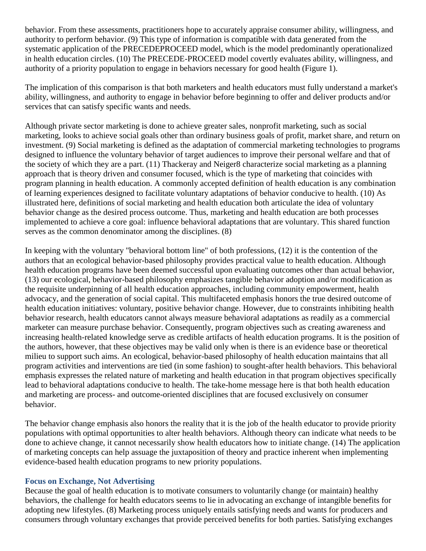behavior. From these assessments, practitioners hope to accurately appraise consumer ability, willingness, and authority to perform behavior. (9) This type of information is compatible with data generated from the systematic application of the PRECEDEPROCEED model, which is the model predominantly operationalized in health education circles. (10) The PRECEDE-PROCEED model covertly evaluates ability, willingness, and authority of a priority population to engage in behaviors necessary for good health (Figure 1).

The implication of this comparison is that both marketers and health educators must fully understand a market's ability, willingness, and authority to engage in behavior before beginning to offer and deliver products and/or services that can satisfy specific wants and needs.

Although private sector marketing is done to achieve greater sales, nonprofit marketing, such as social marketing, looks to achieve social goals other than ordinary business goals of profit, market share, and return on investment. (9) Social marketing is defined as the adaptation of commercial marketing technologies to programs designed to influence the voluntary behavior of target audiences to improve their personal welfare and that of the society of which they are a part. (11) Thackeray and Neiger8 characterize social marketing as a planning approach that is theory driven and consumer focused, which is the type of marketing that coincides with program planning in health education. A commonly accepted definition of health education is any combination of learning experiences designed to facilitate voluntary adaptations of behavior conducive to health. (10) As illustrated here, definitions of social marketing and health education both articulate the idea of voluntary behavior change as the desired process outcome. Thus, marketing and health education are both processes implemented to achieve a core goal: influence behavioral adaptations that are voluntary. This shared function serves as the common denominator among the disciplines. (8)

In keeping with the voluntary "behavioral bottom line" of both professions, (12) it is the contention of the authors that an ecological behavior-based philosophy provides practical value to health education. Although health education programs have been deemed successful upon evaluating outcomes other than actual behavior, (13) our ecological, behavior-based philosophy emphasizes tangible behavior adoption and/or modification as the requisite underpinning of all health education approaches, including community empowerment, health advocacy, and the generation of social capital. This multifaceted emphasis honors the true desired outcome of health education initiatives: voluntary, positive behavior change. However, due to constraints inhibiting health behavior research, health educators cannot always measure behavioral adaptations as readily as a commercial marketer can measure purchase behavior. Consequently, program objectives such as creating awareness and increasing health-related knowledge serve as credible artifacts of health education programs. It is the position of the authors, however, that these objectives may be valid only when is there is an evidence base or theoretical milieu to support such aims. An ecological, behavior-based philosophy of health education maintains that all program activities and interventions are tied (in some fashion) to sought-after health behaviors. This behavioral emphasis expresses the related nature of marketing and health education in that program objectives specifically lead to behavioral adaptations conducive to health. The take-home message here is that both health education and marketing are process- and outcome-oriented disciplines that are focused exclusively on consumer behavior.

The behavior change emphasis also honors the reality that it is the job of the health educator to provide priority populations with optimal opportunities to alter health behaviors. Although theory can indicate what needs to be done to achieve change, it cannot necessarily show health educators how to initiate change. (14) The application of marketing concepts can help assuage the juxtaposition of theory and practice inherent when implementing evidence-based health education programs to new priority populations.

#### **Focus on Exchange, Not Advertising**

Because the goal of health education is to motivate consumers to voluntarily change (or maintain) healthy behaviors, the challenge for health educators seems to lie in advocating an exchange of intangible benefits for adopting new lifestyles. (8) Marketing process uniquely entails satisfying needs and wants for producers and consumers through voluntary exchanges that provide perceived benefits for both parties. Satisfying exchanges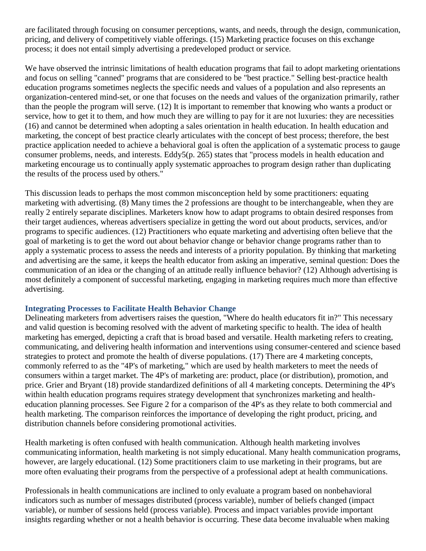are facilitated through focusing on consumer perceptions, wants, and needs, through the design, communication, pricing, and delivery of competitively viable offerings. (15) Marketing practice focuses on this exchange process; it does not entail simply advertising a predeveloped product or service.

We have observed the intrinsic limitations of health education programs that fail to adopt marketing orientations and focus on selling "canned" programs that are considered to be "best practice." Selling best-practice health education programs sometimes neglects the specific needs and values of a population and also represents an organization-centered mind-set, or one that focuses on the needs and values of the organization primarily, rather than the people the program will serve. (12) It is important to remember that knowing who wants a product or service, how to get it to them, and how much they are willing to pay for it are not luxuries: they are necessities (16) and cannot be determined when adopting a sales orientation in health education. In health education and marketing, the concept of best practice clearly articulates with the concept of best process; therefore, the best practice application needed to achieve a behavioral goal is often the application of a systematic process to gauge consumer problems, needs, and interests. Eddy5(p. 265) states that "process models in health education and marketing encourage us to continually apply systematic approaches to program design rather than duplicating the results of the process used by others."

This discussion leads to perhaps the most common misconception held by some practitioners: equating marketing with advertising. (8) Many times the 2 professions are thought to be interchangeable, when they are really 2 entirely separate disciplines. Marketers know how to adapt programs to obtain desired responses from their target audiences, whereas advertisers specialize in getting the word out about products, services, and/or programs to specific audiences. (12) Practitioners who equate marketing and advertising often believe that the goal of marketing is to get the word out about behavior change or behavior change programs rather than to apply a systematic process to assess the needs and interests of a priority population. By thinking that marketing and advertising are the same, it keeps the health educator from asking an imperative, seminal question: Does the communication of an idea or the changing of an attitude really influence behavior? (12) Although advertising is most definitely a component of successful marketing, engaging in marketing requires much more than effective advertising.

#### **Integrating Processes to Facilitate Health Behavior Change**

Delineating marketers from advertisers raises the question, "Where do health educators fit in?" This necessary and valid question is becoming resolved with the advent of marketing specific to health. The idea of health marketing has emerged, depicting a craft that is broad based and versatile. Health marketing refers to creating, communicating, and delivering health information and interventions using consumer-centered and science based strategies to protect and promote the health of diverse populations. (17) There are 4 marketing concepts, commonly referred to as the "4P's of marketing," which are used by health marketers to meet the needs of consumers within a target market. The 4P's of marketing are: product, place (or distribution), promotion, and price. Grier and Bryant (18) provide standardized definitions of all 4 marketing concepts. Determining the 4P's within health education programs requires strategy development that synchronizes marketing and healtheducation planning processes. See Figure 2 for a comparison of the 4P's as they relate to both commercial and health marketing. The comparison reinforces the importance of developing the right product, pricing, and distribution channels before considering promotional activities.

Health marketing is often confused with health communication. Although health marketing involves communicating information, health marketing is not simply educational. Many health communication programs, however, are largely educational. (12) Some practitioners claim to use marketing in their programs, but are more often evaluating their programs from the perspective of a professional adept at health communications.

Professionals in health communications are inclined to only evaluate a program based on nonbehavioral indicators such as number of messages distributed (process variable), number of beliefs changed (impact variable), or number of sessions held (process variable). Process and impact variables provide important insights regarding whether or not a health behavior is occurring. These data become invaluable when making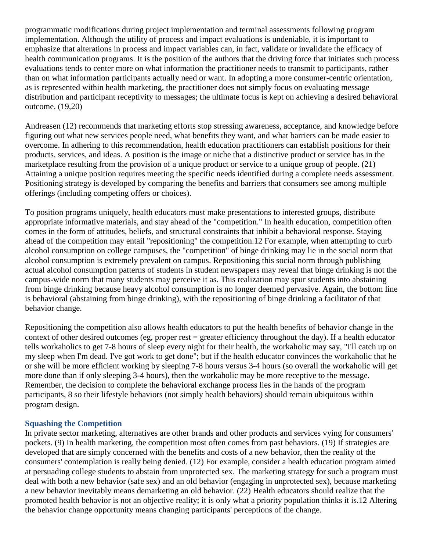programmatic modifications during project implementation and terminal assessments following program implementation. Although the utility of process and impact evaluations is undeniable, it is important to emphasize that alterations in process and impact variables can, in fact, validate or invalidate the efficacy of health communication programs. It is the position of the authors that the driving force that initiates such process evaluations tends to center more on what information the practitioner needs to transmit to participants, rather than on what information participants actually need or want. In adopting a more consumer-centric orientation, as is represented within health marketing, the practitioner does not simply focus on evaluating message distribution and participant receptivity to messages; the ultimate focus is kept on achieving a desired behavioral outcome. (19,20)

Andreasen (12) recommends that marketing efforts stop stressing awareness, acceptance, and knowledge before figuring out what new services people need, what benefits they want, and what barriers can be made easier to overcome. In adhering to this recommendation, health education practitioners can establish positions for their products, services, and ideas. A position is the image or niche that a distinctive product or service has in the marketplace resulting from the provision of a unique product or service to a unique group of people. (21) Attaining a unique position requires meeting the specific needs identified during a complete needs assessment. Positioning strategy is developed by comparing the benefits and barriers that consumers see among multiple offerings (including competing offers or choices).

To position programs uniquely, health educators must make presentations to interested groups, distribute appropriate informative materials, and stay ahead of the "competition." In health education, competition often comes in the form of attitudes, beliefs, and structural constraints that inhibit a behavioral response. Staying ahead of the competition may entail "repositioning" the competition.12 For example, when attempting to curb alcohol consumption on college campuses, the "competition" of binge drinking may lie in the social norm that alcohol consumption is extremely prevalent on campus. Repositioning this social norm through publishing actual alcohol consumption patterns of students in student newspapers may reveal that binge drinking is not the campus-wide norm that many students may perceive it as. This realization may spur students into abstaining from binge drinking because heavy alcohol consumption is no longer deemed pervasive. Again, the bottom line is behavioral (abstaining from binge drinking), with the repositioning of binge drinking a facilitator of that behavior change.

Repositioning the competition also allows health educators to put the health benefits of behavior change in the context of other desired outcomes (eg, proper rest = greater efficiency throughout the day). If a health educator tells workaholics to get 7-8 hours of sleep every night for their health, the workaholic may say, "I'll catch up on my sleep when I'm dead. I've got work to get done"; but if the health educator convinces the workaholic that he or she will be more efficient working by sleeping 7-8 hours versus 3-4 hours (so overall the workaholic will get more done than if only sleeping 3-4 hours), then the workaholic may be more receptive to the message. Remember, the decision to complete the behavioral exchange process lies in the hands of the program participants, 8 so their lifestyle behaviors (not simply health behaviors) should remain ubiquitous within program design.

#### **Squashing the Competition**

In private sector marketing, alternatives are other brands and other products and services vying for consumers' pockets. (9) In health marketing, the competition most often comes from past behaviors. (19) If strategies are developed that are simply concerned with the benefits and costs of a new behavior, then the reality of the consumers' contemplation is really being denied. (12) For example, consider a health education program aimed at persuading college students to abstain from unprotected sex. The marketing strategy for such a program must deal with both a new behavior (safe sex) and an old behavior (engaging in unprotected sex), because marketing a new behavior inevitably means demarketing an old behavior. (22) Health educators should realize that the promoted health behavior is not an objective reality; it is only what a priority population thinks it is.12 Altering the behavior change opportunity means changing participants' perceptions of the change.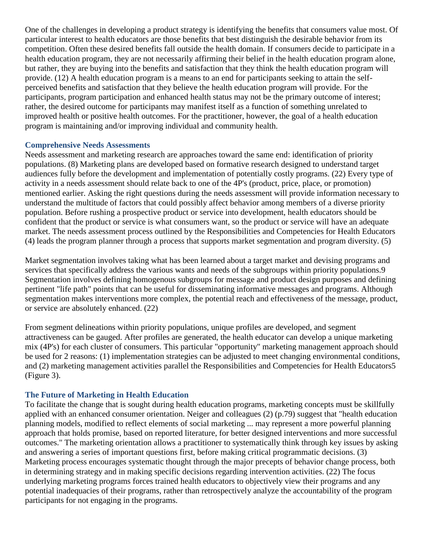One of the challenges in developing a product strategy is identifying the benefits that consumers value most. Of particular interest to health educators are those benefits that best distinguish the desirable behavior from its competition. Often these desired benefits fall outside the health domain. If consumers decide to participate in a health education program, they are not necessarily affirming their belief in the health education program alone, but rather, they are buying into the benefits and satisfaction that they think the health education program will provide. (12) A health education program is a means to an end for participants seeking to attain the selfperceived benefits and satisfaction that they believe the health education program will provide. For the participants, program participation and enhanced health status may not be the primary outcome of interest; rather, the desired outcome for participants may manifest itself as a function of something unrelated to improved health or positive health outcomes. For the practitioner, however, the goal of a health education program is maintaining and/or improving individual and community health.

#### **Comprehensive Needs Assessments**

Needs assessment and marketing research are approaches toward the same end: identification of priority populations. (8) Marketing plans are developed based on formative research designed to understand target audiences fully before the development and implementation of potentially costly programs. (22) Every type of activity in a needs assessment should relate back to one of the 4P's (product, price, place, or promotion) mentioned earlier. Asking the right questions during the needs assessment will provide information necessary to understand the multitude of factors that could possibly affect behavior among members of a diverse priority population. Before rushing a prospective product or service into development, health educators should be confident that the product or service is what consumers want, so the product or service will have an adequate market. The needs assessment process outlined by the Responsibilities and Competencies for Health Educators (4) leads the program planner through a process that supports market segmentation and program diversity. (5)

Market segmentation involves taking what has been learned about a target market and devising programs and services that specifically address the various wants and needs of the subgroups within priority populations.9 Segmentation involves defining homogenous subgroups for message and product design purposes and defining pertinent "life path" points that can be useful for disseminating informative messages and programs. Although segmentation makes interventions more complex, the potential reach and effectiveness of the message, product, or service are absolutely enhanced. (22)

From segment delineations within priority populations, unique profiles are developed, and segment attractiveness can be gauged. After profiles are generated, the health educator can develop a unique marketing mix (4P's) for each cluster of consumers. This particular "opportunity" marketing management approach should be used for 2 reasons: (1) implementation strategies can be adjusted to meet changing environmental conditions, and (2) marketing management activities parallel the Responsibilities and Competencies for Health Educators5 (Figure 3).

#### **The Future of Marketing in Health Education**

To facilitate the change that is sought during health education programs, marketing concepts must be skillfully applied with an enhanced consumer orientation. Neiger and colleagues (2) (p.79) suggest that "health education planning models, modified to reflect elements of social marketing ... may represent a more powerful planning approach that holds promise, based on reported literature, for better designed interventions and more successful outcomes." The marketing orientation allows a practitioner to systematically think through key issues by asking and answering a series of important questions first, before making critical programmatic decisions. (3) Marketing process encourages systematic thought through the major precepts of behavior change process, both in determining strategy and in making specific decisions regarding intervention activities. (22) The focus underlying marketing programs forces trained health educators to objectively view their programs and any potential inadequacies of their programs, rather than retrospectively analyze the accountability of the program participants for not engaging in the programs.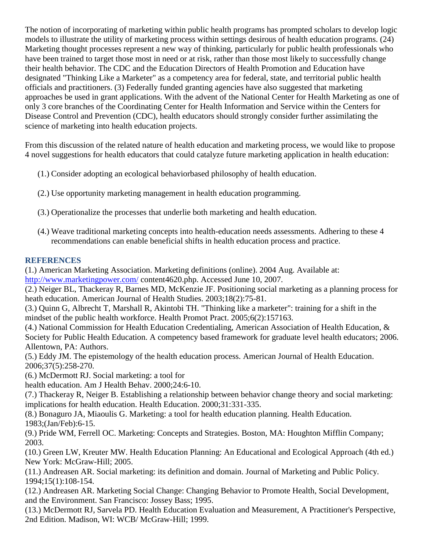The notion of incorporating of marketing within public health programs has prompted scholars to develop logic models to illustrate the utility of marketing process within settings desirous of health education programs. (24) Marketing thought processes represent a new way of thinking, particularly for public health professionals who have been trained to target those most in need or at risk, rather than those most likely to successfully change their health behavior. The CDC and the Education Directors of Health Promotion and Education have designated "Thinking Like a Marketer" as a competency area for federal, state, and territorial public health officials and practitioners. (3) Federally funded granting agencies have also suggested that marketing approaches be used in grant applications. With the advent of the National Center for Health Marketing as one of only 3 core branches of the Coordinating Center for Health Information and Service within the Centers for Disease Control and Prevention (CDC), health educators should strongly consider further assimilating the science of marketing into health education projects.

From this discussion of the related nature of health education and marketing process, we would like to propose 4 novel suggestions for health educators that could catalyze future marketing application in health education:

- (1.) Consider adopting an ecological behaviorbased philosophy of health education.
- (2.) Use opportunity marketing management in health education programming.
- (3.) Operationalize the processes that underlie both marketing and health education.
- (4.) Weave traditional marketing concepts into health-education needs assessments. Adhering to these 4 recommendations can enable beneficial shifts in health education process and practice.

# **REFERENCES**

(1.) American Marketing Association. Marketing definitions (online). 2004 Aug. Available at:

<http://www.marketingpower.com/> content4620.php. Accessed June 10, 2007.

(2.) Neiger BL, Thackeray R, Barnes MD, McKenzie JF. Positioning social marketing as a planning process for heath education. American Journal of Health Studies. 2003;18(2):75-81.

(3.) Quinn G, Albrecht T, Marshall R, Akintobi TH. "Thinking like a marketer": training for a shift in the mindset of the public health workforce. Health Promot Pract. 2005;6(2):157163.

(4.) National Commission for Health Education Credentialing, American Association of Health Education, & Society for Public Health Education. A competency based framework for graduate level health educators; 2006. Allentown, PA: Authors.

(5.) Eddy JM. The epistemology of the health education process. American Journal of Health Education. 2006;37(5):258-270.

(6.) McDermott RJ. Social marketing: a tool for

health education. Am J Health Behav. 2000;24:6-10.

(7.) Thackeray R, Neiger B. Establishing a relationship between behavior change theory and social marketing: implications for health education. Health Education. 2000;31:331-335.

(8.) Bonaguro JA, Miaoulis G. Marketing: a tool for health education planning. Health Education. 1983;(Jan/Feb):6-15.

(9.) Pride WM, Ferrell OC. Marketing: Concepts and Strategies. Boston, MA: Houghton Mifflin Company; 2003.

(10.) Green LW, Kreuter MW. Health Education Planning: An Educational and Ecological Approach (4th ed.) New York: McGraw-Hill; 2005.

(11.) Andreasen AR. Social marketing: its definition and domain. Journal of Marketing and Public Policy. 1994;15(1):108-154.

(12.) Andreasen AR. Marketing Social Change: Changing Behavior to Promote Health, Social Development, and the Environment. San Francisco: Jossey Bass; 1995.

(13.) McDermott RJ, Sarvela PD. Health Education Evaluation and Measurement, A Practitioner's Perspective, 2nd Edition. Madison, WI: WCB/ McGraw-Hill; 1999.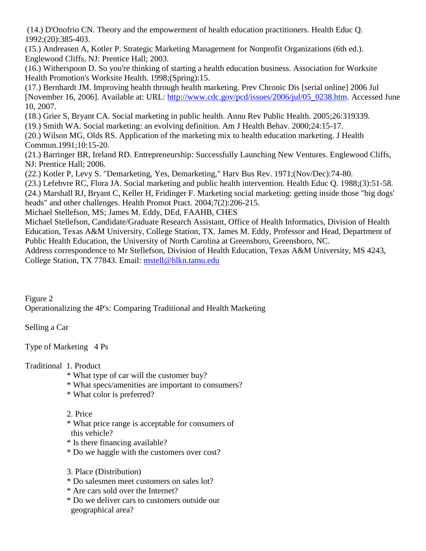(14.) D'Onofrio CN. Theory and the empowerment of health education practitioners. Health Educ Q. 1992;(20):385-403.

(15.) Andreasen A, Kotler P. Strategic Marketing Management for Nonprofit Organizations (6th ed.). Englewood Cliffs, NJ: Prentice Hall; 2003.

(16.) Witherspoon D. So you're thinking of starting a health education business. Association for Worksite Health Promotion's Worksite Health. 1998;(Spring):15.

(17.) Bernhardt JM. Improving health through health marketing. Prev Chronic Dis [serial online] 2006 Jul [November 16, 2006]. Available at: URL: [http://www.cdc.gov/pcd/issues/2006/jul/05\\_0238.htm.](http://www.cdc.gov/pcd/issues/2006/jul/05_0238.htm) Accessed June 10, 2007.

(18.) Grier S, Bryant CA. Social marketing in public health. Annu Rev Public Health. 2005;26:319339.

(19.) Smith WA. Social marketing: an evolving definition. Am J Health Behav. 2000;24:15-17.

(20.) Wilson MG, Olds RS. Application of the marketing mix to health education marketing. J Health Commun.1991;10:15-20.

(21.) Barringer BR, Ireland RD. Entrepreneurship: Successfully Launching New Ventures. Englewood Cliffs, NJ: Prentice Hall; 2006.

(22.) Kotler P, Levy S. "Demarketing, Yes, Demarketing," Harv Bus Rev. 1971;(Nov/Dec):74-80.

(23.) Lefebvre RC, Flora JA. Social marketing and public health intervention. Health Educ Q. 1988;(3):51-58. (24.) Marshall RJ, Bryant C, Keller H, Fridinger F. Marketing social marketing: getting inside those "big dogs' heads" and other challenges. Health Promot Pract. 2004;7(2):206-215.

Michael Stellefson, MS; James M. Eddy, DEd, FAAHB, CHES

Michael Stellefson, Candidate/Graduate Research Assistant, Office of Health Informatics, Division of Health Education, Texas A&M University, College Station, TX. James M. Eddy, Professor and Head, Department of Public Health Education, the University of North Carolina at Greensboro, Greensboro, NC.

Address correspondence to Mr Stellefson, Division of Health Education, Texas A&M University, MS 4243, College Station, TX 77843. Email: [mstell@hlkn.tamu.edu](mailto:mstell@hlkn.tamu.edu)

Figure 2 Operationalizing the 4P's: Comparing Traditional and Health Marketing

Selling a Car

Type of Marketing 4 Ps

Traditional 1. Product

- \* What type of car will the customer buy?
- \* What specs/amenities are important to consumers?
- \* What color is preferred?
- 2. Price
- \* What price range is acceptable for consumers of this vehicle?
- \* Is there financing available?
- \* Do we haggle with the customers over cost?
- 3. Place (Distribution)
- \* Do salesmen meet customers on sales lot?
- \* Are cars sold over the Internet?
- \* Do we deliver cars to customers outside our geographical area?